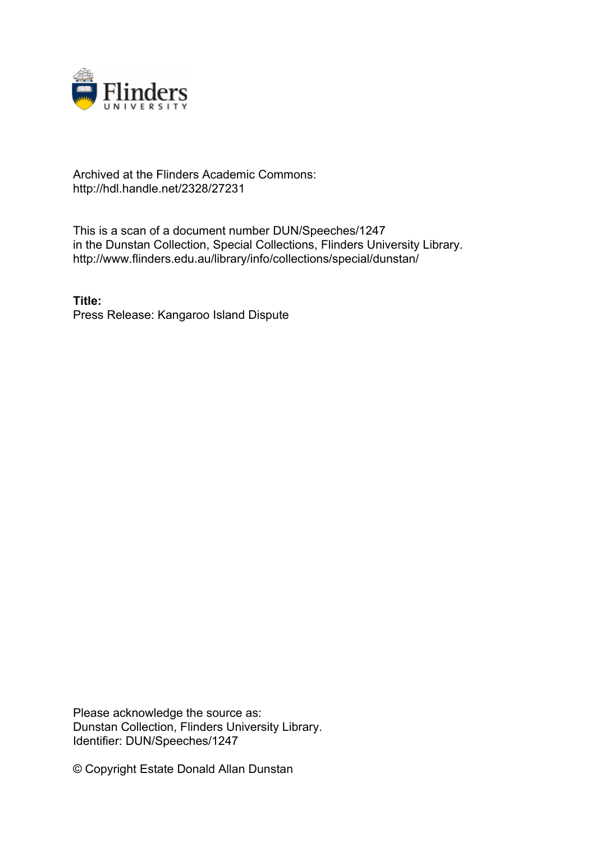

## Archived at the Flinders Academic Commons: http://hdl.handle.net/2328/27231

This is a scan of a document number DUN/Speeches/1247 in the Dunstan Collection, Special Collections, Flinders University Library. http://www.flinders.edu.au/library/info/collections/special/dunstan/

**Title:** Press Release: Kangaroo Island Dispute

Please acknowledge the source as: Dunstan Collection, Flinders University Library. Identifier: DUN/Speeches/1247

© Copyright Estate Donald Allan Dunstan